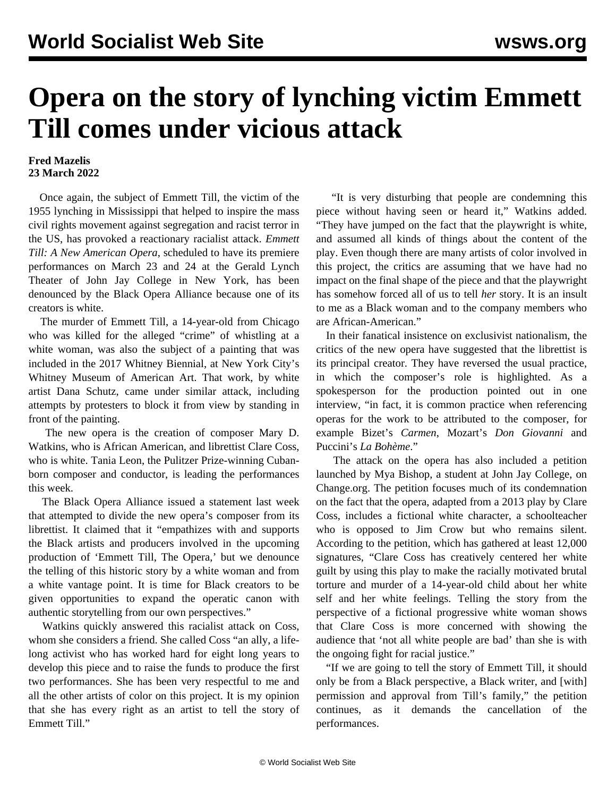## **Opera on the story of lynching victim Emmett Till comes under vicious attack**

## **Fred Mazelis 23 March 2022**

 Once again, the subject of Emmett Till, the victim of the 1955 lynching in Mississippi that helped to inspire the mass civil rights movement against segregation and racist terror in the US, has provoked a reactionary racialist attack. *Emmett Till: A New American Opera*, scheduled to have its premiere performances on March 23 and 24 at the Gerald Lynch Theater of John Jay College in New York, has been denounced by the Black Opera Alliance because one of its creators is white.

 The murder of Emmett Till, a 14-year-old from Chicago who was killed for the alleged "crime" of whistling at a white woman, was also the subject of a painting that was included in the 2017 Whitney Biennial, at New York City's Whitney Museum of American Art. That work, by white artist Dana Schutz, came under similar attack, including attempts by protesters to block it from view by standing in front of the painting.

 The new opera is the creation of composer Mary D. Watkins, who is African American, and librettist Clare Coss, who is white. Tania Leon, the Pulitzer Prize-winning Cubanborn composer and conductor, is leading the performances this week.

 The Black Opera Alliance issued a statement last week that attempted to divide the new opera's composer from its librettist. It claimed that it "empathizes with and supports the Black artists and producers involved in the upcoming production of 'Emmett Till, The Opera,' but we denounce the telling of this historic story by a white woman and from a white vantage point. It is time for Black creators to be given opportunities to expand the operatic canon with authentic storytelling from our own perspectives."

 Watkins quickly answered this racialist attack on Coss, whom she considers a friend. She called Coss "an ally, a lifelong activist who has worked hard for eight long years to develop this piece and to raise the funds to produce the first two performances. She has been very respectful to me and all the other artists of color on this project. It is my opinion that she has every right as an artist to tell the story of Emmett Till."

 "It is very disturbing that people are condemning this piece without having seen or heard it," Watkins added. "They have jumped on the fact that the playwright is white, and assumed all kinds of things about the content of the play. Even though there are many artists of color involved in this project, the critics are assuming that we have had no impact on the final shape of the piece and that the playwright has somehow forced all of us to tell *her* story. It is an insult to me as a Black woman and to the company members who are African-American."

 In their fanatical insistence on exclusivist nationalism, the critics of the new opera have suggested that the librettist is its principal creator. They have reversed the usual practice, in which the composer's role is highlighted. As a spokesperson for the production pointed out in one interview, "in fact, it is common practice when referencing operas for the work to be attributed to the composer, for example Bizet's *Carmen*, Mozart's *Don Giovanni* and Puccini's *La Bohème*."

 The attack on the opera has also included a petition launched by Mya Bishop, a student at John Jay College, on Change.org. The petition focuses much of its condemnation on the fact that the opera, adapted from a 2013 play by Clare Coss, includes a fictional white character, a schoolteacher who is opposed to Jim Crow but who remains silent. According to the petition, which has gathered at least 12,000 signatures, "Clare Coss has creatively centered her white guilt by using this play to make the racially motivated brutal torture and murder of a 14-year-old child about her white self and her white feelings. Telling the story from the perspective of a fictional progressive white woman shows that Clare Coss is more concerned with showing the audience that 'not all white people are bad' than she is with the ongoing fight for racial justice."

 "If we are going to tell the story of Emmett Till, it should only be from a Black perspective, a Black writer, and [with] permission and approval from Till's family," the petition continues, as it demands the cancellation of the performances.